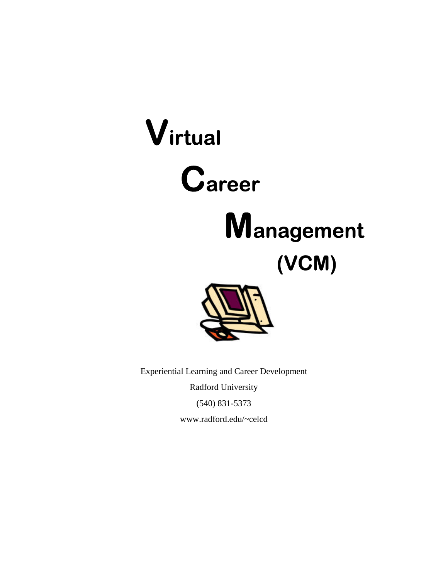# **Virtual Career Management (VCM)**



Experiential Learning and Career Development Radford University (540) 831-5373 www.radford.edu/~celcd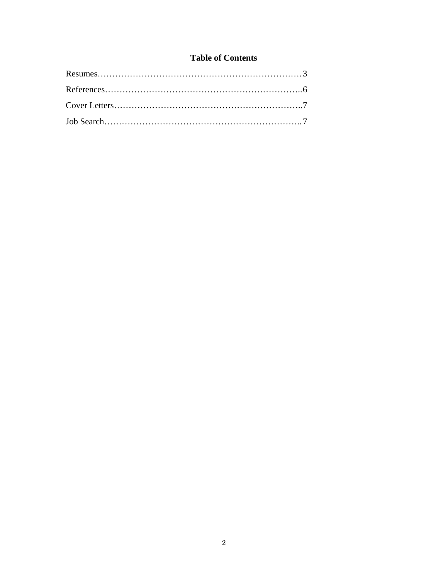# **Table of Contents**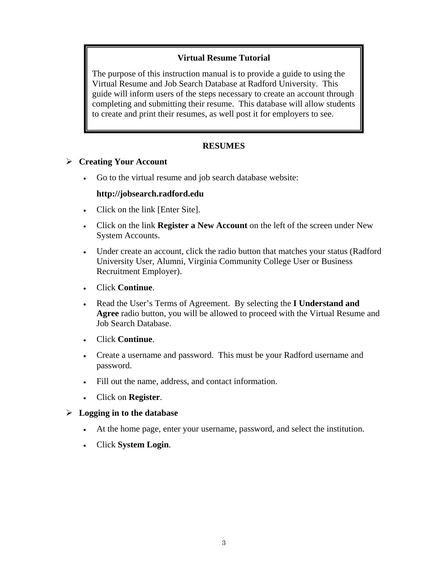## **Virtual Resume Tutorial**

The purpose of this instruction manual is to provide a guide to using the Virtual Resume and Job Search Database at Radford University. This guide will inform users of the steps necessary to create an account through completing and submitting their resume. This database will allow students to create and print their resumes, as well post it for employers to see.

## **RESUMES**

#### ¾ **Creating Your Account**

• Go to the virtual resume and job search database website:

#### **http://jobsearch.radford.edu**

- Click on the link [Enter Site].
- Click on the link **Register a New Account** on the left of the screen under New System Accounts.
- Under create an account, click the radio button that matches your status (Radford University User, Alumni, Virginia Community College User or Business Recruitment Employer).
- Click **Continue**.
- Read the User's Terms of Agreement. By selecting the **I Understand and Agree** radio button, you will be allowed to proceed with the Virtual Resume and Job Search Database.
- Click **Continue**.
- Create a username and password. This must be your Radford username and password.
- Fill out the name, address, and contact information.
- Click on **Register**.

#### ¾ **Logging in to the database**

- At the home page, enter your username, password, and select the institution.
- Click **System Login**.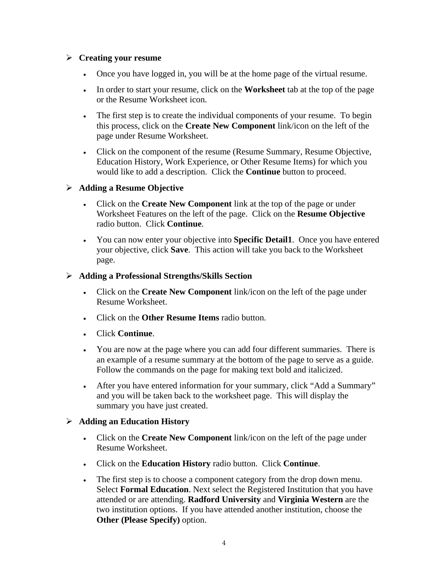#### ¾ **Creating your resume**

- Once you have logged in, you will be at the home page of the virtual resume.
- In order to start your resume, click on the **Worksheet** tab at the top of the page or the Resume Worksheet icon.
- The first step is to create the individual components of your resume. To begin this process, click on the **Create New Component** link/icon on the left of the page under Resume Worksheet.
- Click on the component of the resume (Resume Summary, Resume Objective, Education History, Work Experience, or Other Resume Items) for which you would like to add a description. Click the **Continue** button to proceed.

#### ¾ **Adding a Resume Objective**

- Click on the **Create New Component** link at the top of the page or under Worksheet Features on the left of the page. Click on the **Resume Objective** radio button. Click **Continue**.
- You can now enter your objective into **Specific Detail1**. Once you have entered your objective, click **Save**. This action will take you back to the Worksheet page.

#### ¾ **Adding a Professional Strengths/Skills Section**

- Click on the **Create New Component** link/icon on the left of the page under Resume Worksheet.
- Click on the **Other Resume Items** radio button.
- Click **Continue**.
- You are now at the page where you can add four different summaries. There is an example of a resume summary at the bottom of the page to serve as a guide. Follow the commands on the page for making text bold and italicized.
- After you have entered information for your summary, click "Add a Summary" and you will be taken back to the worksheet page. This will display the summary you have just created.

## ¾ **Adding an Education History**

- Click on the **Create New Component** link/icon on the left of the page under Resume Worksheet.
- Click on the **Education History** radio button. Click **Continue**.
- The first step is to choose a component category from the drop down menu. Select **Formal Education**. Next select the Registered Institution that you have attended or are attending. **Radford University** and **Virginia Western** are the two institution options. If you have attended another institution, choose the **Other (Please Specify)** option.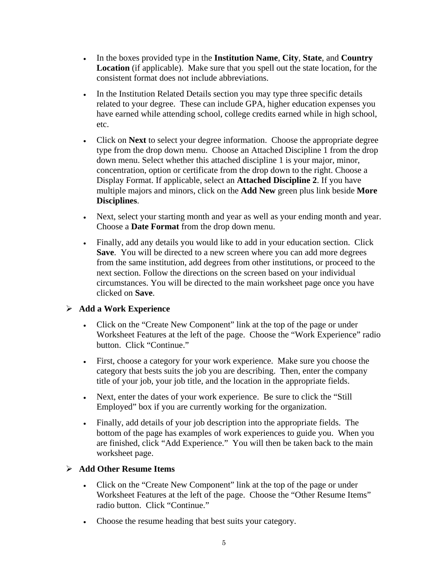- In the boxes provided type in the **Institution Name**, **City**, **State**, and **Country Location** (if applicable). Make sure that you spell out the state location, for the consistent format does not include abbreviations.
- In the Institution Related Details section you may type three specific details related to your degree. These can include GPA, higher education expenses you have earned while attending school, college credits earned while in high school, etc.
- Click on **Next** to select your degree information. Choose the appropriate degree type from the drop down menu. Choose an Attached Discipline 1 from the drop down menu. Select whether this attached discipline 1 is your major, minor, concentration, option or certificate from the drop down to the right. Choose a Display Format. If applicable, select an **Attached Discipline 2**. If you have multiple majors and minors, click on the **Add New** green plus link beside **More Disciplines**.
- Next, select your starting month and year as well as your ending month and year. Choose a **Date Format** from the drop down menu.
- Finally, add any details you would like to add in your education section. Click **Save**. You will be directed to a new screen where you can add more degrees from the same institution, add degrees from other institutions, or proceed to the next section. Follow the directions on the screen based on your individual circumstances. You will be directed to the main worksheet page once you have clicked on **Save**.

## ¾ **Add a Work Experience**

- Click on the "Create New Component" link at the top of the page or under Worksheet Features at the left of the page. Choose the "Work Experience" radio button. Click "Continue."
- First, choose a category for your work experience. Make sure you choose the category that bests suits the job you are describing. Then, enter the company title of your job, your job title, and the location in the appropriate fields.
- Next, enter the dates of your work experience. Be sure to click the "Still" Employed" box if you are currently working for the organization.
- Finally, add details of your job description into the appropriate fields. The bottom of the page has examples of work experiences to guide you. When you are finished, click "Add Experience." You will then be taken back to the main worksheet page.

## ¾ **Add Other Resume Items**

- Click on the "Create New Component" link at the top of the page or under Worksheet Features at the left of the page. Choose the "Other Resume Items" radio button. Click "Continue."
- Choose the resume heading that best suits your category.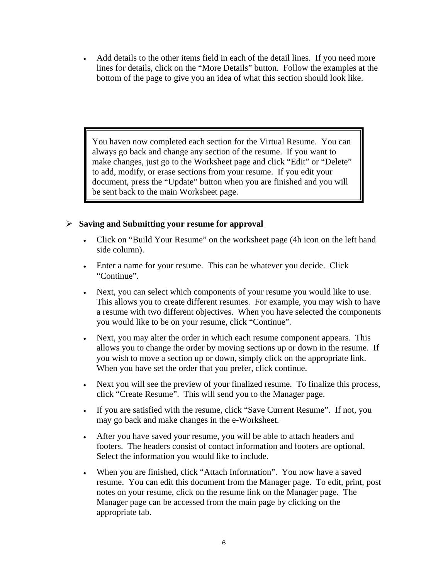• Add details to the other items field in each of the detail lines. If you need more lines for details, click on the "More Details" button. Follow the examples at the bottom of the page to give you an idea of what this section should look like.

You haven now completed each section for the Virtual Resume. You can always go back and change any section of the resume. If you want to make changes, just go to the Worksheet page and click "Edit" or "Delete" to add, modify, or erase sections from your resume. If you edit your document, press the "Update" button when you are finished and you will be sent back to the main Worksheet page.

#### ¾ **Saving and Submitting your resume for approval**

- Click on "Build Your Resume" on the worksheet page (4h icon on the left hand side column).
- Enter a name for your resume. This can be whatever you decide. Click "Continue".
- Next, you can select which components of your resume you would like to use. This allows you to create different resumes. For example, you may wish to have a resume with two different objectives. When you have selected the components you would like to be on your resume, click "Continue".
- Next, you may alter the order in which each resume component appears. This allows you to change the order by moving sections up or down in the resume. If you wish to move a section up or down, simply click on the appropriate link. When you have set the order that you prefer, click continue.
- Next you will see the preview of your finalized resume. To finalize this process, click "Create Resume". This will send you to the Manager page.
- If you are satisfied with the resume, click "Save Current Resume". If not, you may go back and make changes in the e-Worksheet.
- After you have saved your resume, you will be able to attach headers and footers. The headers consist of contact information and footers are optional. Select the information you would like to include.
- When you are finished, click "Attach Information". You now have a saved resume. You can edit this document from the Manager page. To edit, print, post notes on your resume, click on the resume link on the Manager page. The Manager page can be accessed from the main page by clicking on the appropriate tab.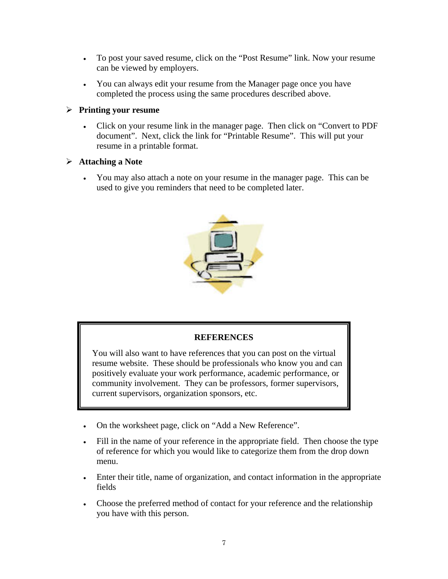- To post your saved resume, click on the "Post Resume" link. Now your resume can be viewed by employers.
- You can always edit your resume from the Manager page once you have completed the process using the same procedures described above.

### ¾ **Printing your resume**

• Click on your resume link in the manager page. Then click on "Convert to PDF document". Next, click the link for "Printable Resume". This will put your resume in a printable format.

#### ¾ **Attaching a Note**

• You may also attach a note on your resume in the manager page. This can be used to give you reminders that need to be completed later.



## **REFERENCES**

You will also want to have references that you can post on the virtual resume website. These should be professionals who know you and can positively evaluate your work performance, academic performance, or community involvement. They can be professors, former supervisors, current supervisors, organization sponsors, etc.

- On the worksheet page, click on "Add a New Reference".
- Fill in the name of your reference in the appropriate field. Then choose the type of reference for which you would like to categorize them from the drop down menu.
- Enter their title, name of organization, and contact information in the appropriate fields
- Choose the preferred method of contact for your reference and the relationship you have with this person.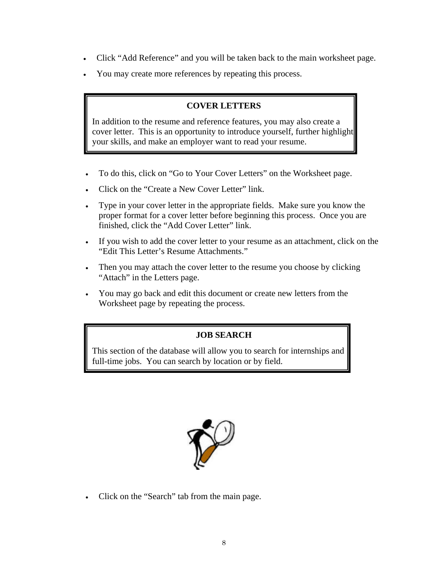- Click "Add Reference" and you will be taken back to the main worksheet page.
- You may create more references by repeating this process.

## **COVER LETTERS**

In addition to the resume and reference features, you may also create a cover letter. This is an opportunity to introduce yourself, further highlight your skills, and make an employer want to read your resume.

- To do this, click on "Go to Your Cover Letters" on the Worksheet page.
- Click on the "Create a New Cover Letter" link.
- Type in your cover letter in the appropriate fields. Make sure you know the proper format for a cover letter before beginning this process. Once you are finished, click the "Add Cover Letter" link.
- If you wish to add the cover letter to your resume as an attachment, click on the "Edit This Letter's Resume Attachments."
- Then you may attach the cover letter to the resume you choose by clicking "Attach" in the Letters page.
- You may go back and edit this document or create new letters from the Worksheet page by repeating the process.

## **JOB SEARCH**

This section of the database will allow you to search for internships and full-time jobs. You can search by location or by field.



• Click on the "Search" tab from the main page.